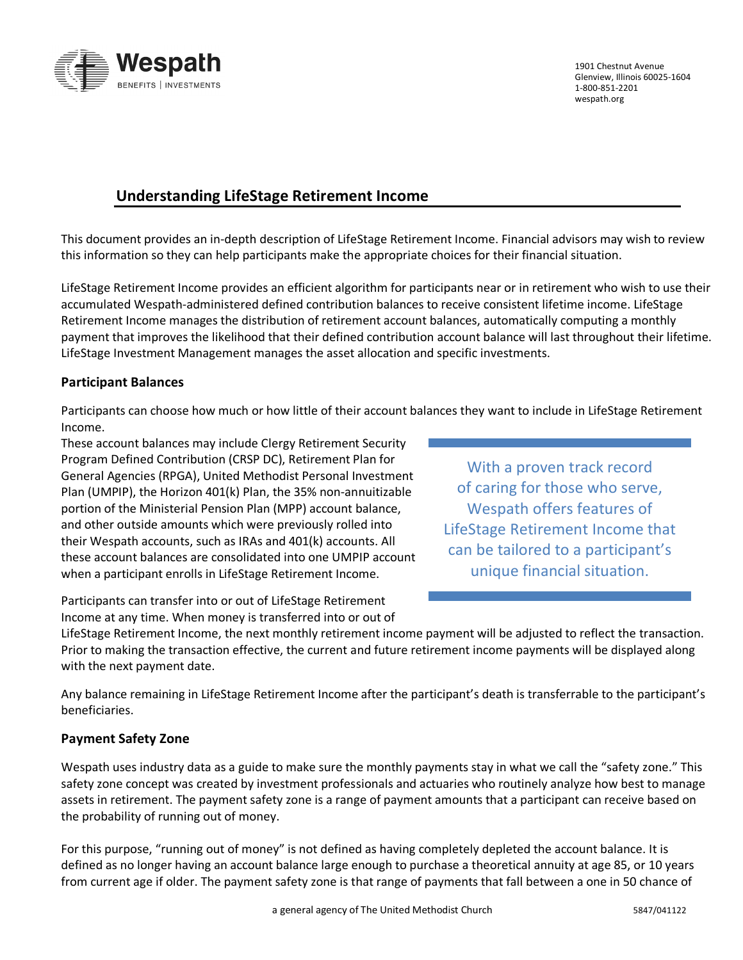

1901 Chestnut Avenue Glenview, Illinois 60025-1604 1-800-851-2201 [wespath.org](https://www.wespath.org/)

# **Understanding LifeStage Retirement Income**

This document provides an in-depth description of LifeStage Retirement Income. Financial advisors may wish to review this information so they can help participants make the appropriate choices for their financial situation.

LifeStage Retirement Income provides an efficient algorithm for participants near or in retirement who wish to use their accumulated Wespath-administered defined contribution balances to receive consistent lifetime income. LifeStage Retirement Income manages the distribution of retirement account balances, automatically computing a monthly payment that improves the likelihood that their defined contribution account balance will last throughout their lifetime. LifeStage Investment Management manages the asset allocation and specific investments.

## **Participant Balances**

Participants can choose how much or how little of their account balances they want to include in LifeStage Retirement Income.

These account balances may include Clergy Retirement Security Program Defined Contribution (CRSP DC), Retirement Plan for General Agencies (RPGA), United Methodist Personal Investment Plan (UMPIP), the Horizon 401(k) Plan, the 35% non-annuitizable portion of the Ministerial Pension Plan (MPP) account balance, and other outside amounts which were previously rolled into their Wespath accounts, such as IRAs and 401(k) accounts. All these account balances are consolidated into one UMPIP account when a participant enrolls in LifeStage Retirement Income.

With a proven track record of caring for those who serve, Wespath offers features of LifeStage Retirement Income that can be tailored to a participant's unique financial situation.

Participants can transfer into or out of LifeStage Retirement Income at any time. When money is transferred into or out of

LifeStage Retirement Income, the next monthly retirement income payment will be adjusted to reflect the transaction. Prior to making the transaction effective, the current and future retirement income payments will be displayed along with the next payment date.

Any balance remaining in LifeStage Retirement Income after the participant's death is transferrable to the participant's beneficiaries.

## **Payment Safety Zone**

Wespath uses industry data as a guide to make sure the monthly payments stay in what we call the "safety zone." This safety zone concept was created by investment professionals and actuaries who routinely analyze how best to manage assets in retirement. The payment safety zone is a range of payment amounts that a participant can receive based on the probability of running out of money.

For this purpose, "running out of money" is not defined as having completely depleted the account balance. It is defined as no longer having an account balance large enough to purchase a theoretical annuity at age 85, or 10 years from current age if older. The payment safety zone is that range of payments that fall between a one in 50 chance of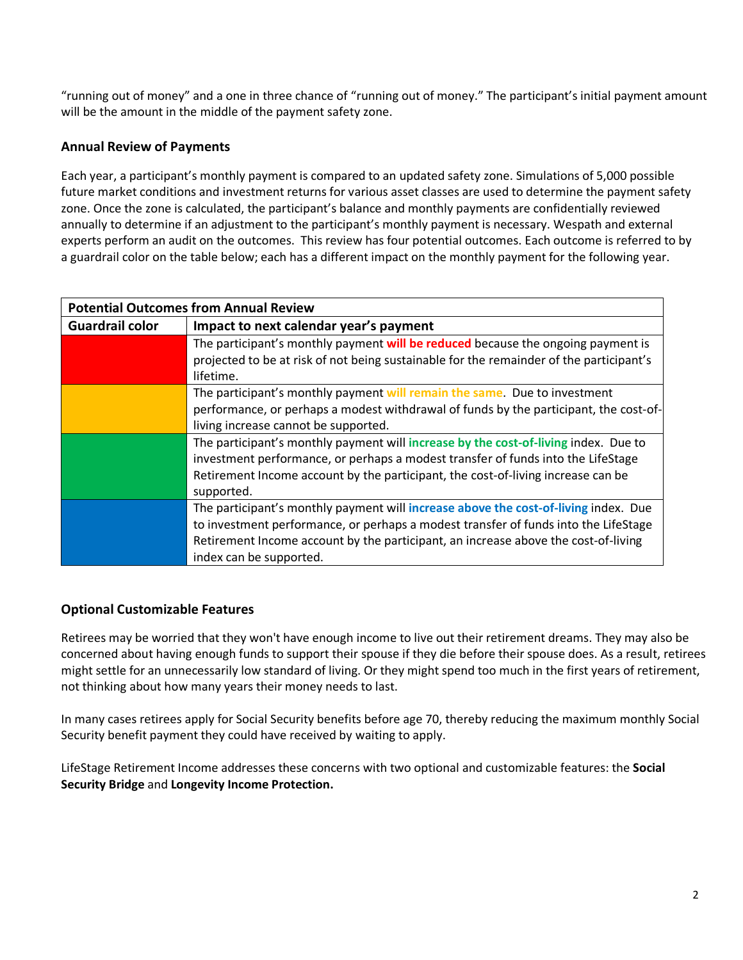"running out of money" and a one in three chance of "running out of money." The participant's initial payment amount will be the amount in the middle of the payment safety zone.

## **Annual Review of Payments**

Each year, a participant's monthly payment is compared to an updated safety zone. Simulations of 5,000 possible future market conditions and investment returns for various asset classes are used to determine the payment safety zone. Once the zone is calculated, the participant's balance and monthly payments are confidentially reviewed annually to determine if an adjustment to the participant's monthly payment is necessary. Wespath and external experts perform an audit on the outcomes. This review has four potential outcomes. Each outcome is referred to by a guardrail color on the table below; each has a different impact on the monthly payment for the following year.

| <b>Potential Outcomes from Annual Review</b> |                                                                                                                                                                             |
|----------------------------------------------|-----------------------------------------------------------------------------------------------------------------------------------------------------------------------------|
| <b>Guardrail color</b>                       | Impact to next calendar year's payment                                                                                                                                      |
|                                              | The participant's monthly payment will be reduced because the ongoing payment is<br>projected to be at risk of not being sustainable for the remainder of the participant's |
|                                              | lifetime.                                                                                                                                                                   |
|                                              | The participant's monthly payment will remain the same. Due to investment                                                                                                   |
|                                              | performance, or perhaps a modest withdrawal of funds by the participant, the cost-of-                                                                                       |
|                                              | living increase cannot be supported.                                                                                                                                        |
|                                              | The participant's monthly payment will increase by the cost-of-living index. Due to                                                                                         |
|                                              | investment performance, or perhaps a modest transfer of funds into the LifeStage                                                                                            |
|                                              | Retirement Income account by the participant, the cost-of-living increase can be                                                                                            |
|                                              | supported.                                                                                                                                                                  |
|                                              | The participant's monthly payment will increase above the cost-of-living index. Due                                                                                         |
|                                              | to investment performance, or perhaps a modest transfer of funds into the LifeStage                                                                                         |
|                                              | Retirement Income account by the participant, an increase above the cost-of-living                                                                                          |
|                                              | index can be supported.                                                                                                                                                     |

## **Optional Customizable Features**

Retirees may be worried that they won't have enough income to live out their retirement dreams. They may also be concerned about having enough funds to support their spouse if they die before their spouse does. As a result, retirees might settle for an unnecessarily low standard of living. Or they might spend too much in the first years of retirement, not thinking about how many years their money needs to last.

In many cases retirees apply for Social Security benefits before age 70, thereby reducing the maximum monthly Social Security benefit payment they could have received by waiting to apply.

LifeStage Retirement Income addresses these concerns with two optional and customizable features: the **Social Security Bridge** and **Longevity Income Protection.**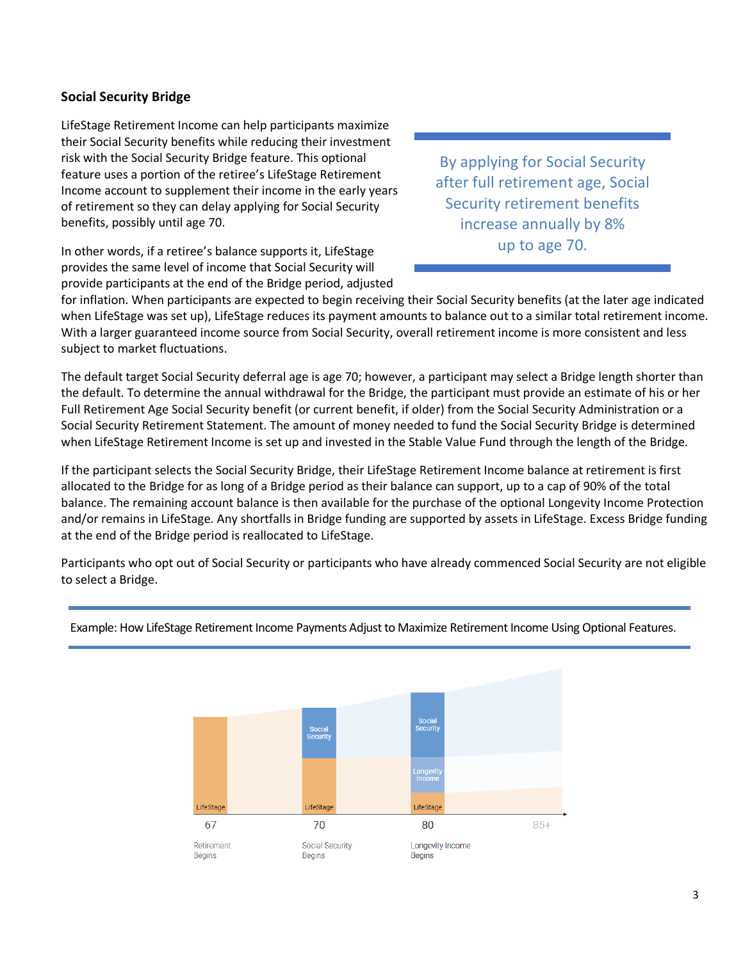## **Social Security Bridge**

LifeStage Retirement Income can help participants maximize their Social Security benefits while reducing their investment risk with the Social Security Bridge feature. This optional feature uses a portion of the retiree's LifeStage Retirement Income account to supplement their income in the early years of retirement so they can delay applying for Social Security benefits, possibly until age 70.

In other words, if a retiree's balance supports it, LifeStage provides the same level of income that Social Security will provide participants at the end of the Bridge period, adjusted

By applying for Social Security after full retirement age, Social Security retirement benefits increase annually by 8% up to age 70.

for inflation. When participants are expected to begin receiving their Social Security benefits (at the later age indicated when LifeStage was set up), LifeStage reduces its payment amounts to balance out to a similar total retirement income. With a larger guaranteed income source from Social Security, overall retirement income is more consistent and less subject to market fluctuations.

The default target Social Security deferral age is age 70; however, a participant may select a Bridge length shorter than the default. To determine the annual withdrawal for the Bridge, the participant must provide an estimate of his or her Full Retirement Age Social Security benefit (or current benefit, if older) from the Social Security Administration or a Social Security Retirement Statement. The amount of money needed to fund the Social Security Bridge is determined when LifeStage Retirement Income is set up and invested in the Stable Value Fund through the length of the Bridge.

If the participant selects the Social Security Bridge, their LifeStage Retirement Income balance at retirement is first allocated to the Bridge for as long of a Bridge period as their balance can support, up to a cap of 90% of the total balance. The remaining account balance is then available for the purchase of the optional Longevity Income Protection and/or remains in LifeStage. Any shortfalls in Bridge funding are supported by assets in LifeStage. Excess Bridge funding at the end of the Bridge period is reallocated to LifeStage.

Participants who opt out of Social Security or participants who have already commenced Social Security are not eligible to select a Bridge.



Example: How LifeStage Retirement Income Payments Adjust to Maximize Retirement Income Using Optional Features.